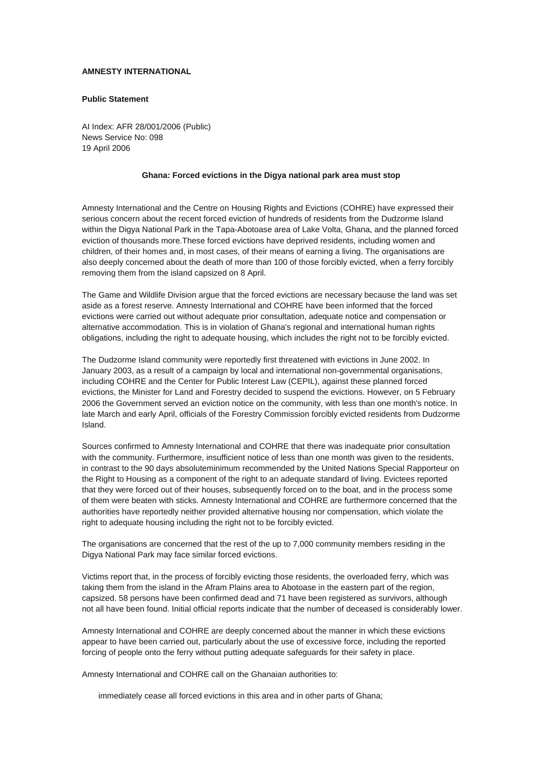## **AMNESTY INTERNATIONAL**

## **Public Statement**

AI Index: AFR 28/001/2006 (Public) News Service No: 098 19 April 2006

## **Ghana: Forced evictions in the Digya national park area must stop**

Amnesty International and the Centre on Housing Rights and Evictions (COHRE) have expressed their serious concern about the recent forced eviction of hundreds of residents from the Dudzorme Island within the Digya National Park in the Tapa-Abotoase area of Lake Volta, Ghana, and the planned forced eviction of thousands more.These forced evictions have deprived residents, including women and children, of their homes and, in most cases, of their means of earning a living. The organisations are also deeply concerned about the death of more than 100 of those forcibly evicted, when a ferry forcibly removing them from the island capsized on 8 April.

The Game and Wildlife Division argue that the forced evictions are necessary because the land was set aside as a forest reserve. Amnesty International and COHRE have been informed that the forced evictions were carried out without adequate prior consultation, adequate notice and compensation or alternative accommodation. This is in violation of Ghana's regional and international human rights obligations, including the right to adequate housing, which includes the right not to be forcibly evicted.

The Dudzorme Island community were reportedly first threatened with evictions in June 2002. In January 2003, as a result of a campaign by local and international non-governmental organisations, including COHRE and the Center for Public Interest Law (CEPIL), against these planned forced evictions, the Minister for Land and Forestry decided to suspend the evictions. However, on 5 February 2006 the Government served an eviction notice on the community, with less than one month's notice. In late March and early April, officials of the Forestry Commission forcibly evicted residents from Dudzorme Island.

Sources confirmed to Amnesty International and COHRE that there was inadequate prior consultation with the community. Furthermore, insufficient notice of less than one month was given to the residents, in contrast to the 90 days absoluteminimum recommended by the United Nations Special Rapporteur on the Right to Housing as a component of the right to an adequate standard of living. Evictees reported that they were forced out of their houses, subsequently forced on to the boat, and in the process some of them were beaten with sticks. Amnesty International and COHRE are furthermore concerned that the authorities have reportedly neither provided alternative housing nor compensation, which violate the right to adequate housing including the right not to be forcibly evicted.

The organisations are concerned that the rest of the up to 7,000 community members residing in the Digya National Park may face similar forced evictions.

Victims report that, in the process of forcibly evicting those residents, the overloaded ferry, which was taking them from the island in the Afram Plains area to Abotoase in the eastern part of the region, capsized. 58 persons have been confirmed dead and 71 have been registered as survivors, although not all have been found. Initial official reports indicate that the number of deceased is considerably lower.

Amnesty International and COHRE are deeply concerned about the manner in which these evictions appear to have been carried out, particularly about the use of excessive force, including the reported forcing of people onto the ferry without putting adequate safeguards for their safety in place.

Amnesty International and COHRE call on the Ghanaian authorities to:

immediately cease all forced evictions in this area and in other parts of Ghana;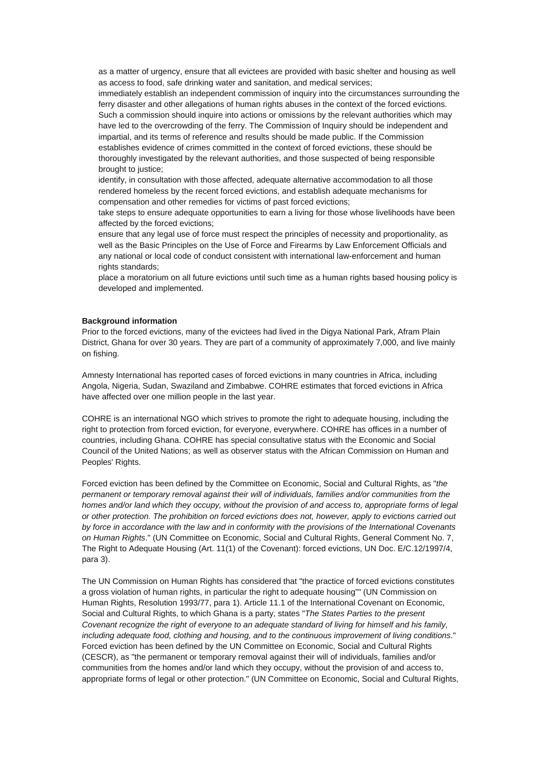as a matter of urgency, ensure that all evictees are provided with basic shelter and housing as well as access to food, safe drinking water and sanitation, and medical services;

immediately establish an independent commission of inquiry into the circumstances surrounding the ferry disaster and other allegations of human rights abuses in the context of the forced evictions. Such a commission should inquire into actions or omissions by the relevant authorities which may have led to the overcrowding of the ferry. The Commission of Inquiry should be independent and impartial, and its terms of reference and results should be made public. If the Commission establishes evidence of crimes committed in the context of forced evictions, these should be thoroughly investigated by the relevant authorities, and those suspected of being responsible brought to justice;

identify, in consultation with those affected, adequate alternative accommodation to all those rendered homeless by the recent forced evictions, and establish adequate mechanisms for compensation and other remedies for victims of past forced evictions;

take steps to ensure adequate opportunities to earn a living for those whose livelihoods have been affected by the forced evictions;

ensure that any legal use of force must respect the principles of necessity and proportionality, as well as the Basic Principles on the Use of Force and Firearms by Law Enforcement Officials and any national or local code of conduct consistent with international law-enforcement and human rights standards;

place a moratorium on all future evictions until such time as a human rights based housing policy is developed and implemented.

## **Background information**

Prior to the forced evictions, many of the evictees had lived in the Digya National Park, Afram Plain District, Ghana for over 30 years. They are part of a community of approximately 7,000, and live mainly on fishing.

Amnesty International has reported cases of forced evictions in many countries in Africa, including Angola, Nigeria, Sudan, Swaziland and Zimbabwe. COHRE estimates that forced evictions in Africa have affected over one million people in the last year.

COHRE is an international NGO which strives to promote the right to adequate housing, including the right to protection from forced eviction, for everyone, everywhere. COHRE has offices in a number of countries, including Ghana. COHRE has special consultative status with the Economic and Social Council of the United Nations; as well as observer status with the African Commission on Human and Peoples' Rights.

Forced eviction has been defined by the Committee on Economic, Social and Cultural Rights, as "*the permanent or temporary removal against their will of individuals, families and/or communities from the homes and/or land which they occupy, without the provision of and access to, appropriate forms of legal or other protection. The prohibition on forced evictions does not, however, apply to evictions carried out by force in accordance with the law and in conformity with the provisions of the International Covenants on Human Rights*." (UN Committee on Economic, Social and Cultural Rights, General Comment No. 7, The Right to Adequate Housing (Art. 11(1) of the Covenant): forced evictions, UN Doc. E/C.12/1997/4, para 3).

The UN Commission on Human Rights has considered that "the practice of forced evictions constitutes a gross violation of human rights, in particular the right to adequate housing"" (UN Commission on Human Rights, Resolution 1993/77, para 1). Article 11.1 of the International Covenant on Economic, Social and Cultural Rights, to which Ghana is a party, states "*The States Parties to the present Covenant recognize the right of everyone to an adequate standard of living for himself and his family, including adequate food, clothing and housing, and to the continuous improvement of living conditions*." Forced eviction has been defined by the UN Committee on Economic, Social and Cultural Rights (CESCR), as "the permanent or temporary removal against their will of individuals, families and/or communities from the homes and/or land which they occupy, without the provision of and access to, appropriate forms of legal or other protection." (UN Committee on Economic, Social and Cultural Rights,